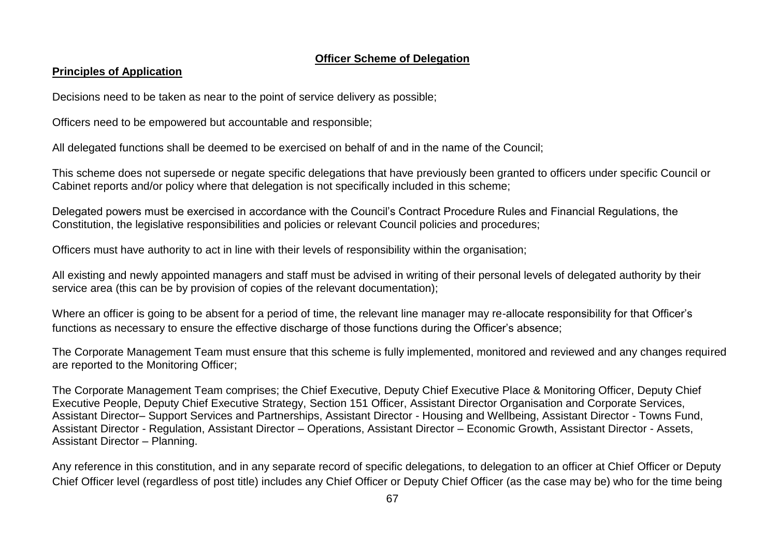#### **Officer Scheme of Delegation**

#### **Principles of Application**

Decisions need to be taken as near to the point of service delivery as possible;

Officers need to be empowered but accountable and responsible;

All delegated functions shall be deemed to be exercised on behalf of and in the name of the Council;

This scheme does not supersede or negate specific delegations that have previously been granted to officers under specific Council or Cabinet reports and/or policy where that delegation is not specifically included in this scheme;

Delegated powers must be exercised in accordance with the Council's Contract Procedure Rules and Financial Regulations, the Constitution, the legislative responsibilities and policies or relevant Council policies and procedures;

Officers must have authority to act in line with their levels of responsibility within the organisation;

All existing and newly appointed managers and staff must be advised in writing of their personal levels of delegated authority by their service area (this can be by provision of copies of the relevant documentation);

Where an officer is going to be absent for a period of time, the relevant line manager may re-allocate responsibility for that Officer's functions as necessary to ensure the effective discharge of those functions during the Officer's absence;

The Corporate Management Team must ensure that this scheme is fully implemented, monitored and reviewed and any changes required are reported to the Monitoring Officer;

The Corporate Management Team comprises; the Chief Executive, Deputy Chief Executive Place & Monitoring Officer, Deputy Chief Executive People, Deputy Chief Executive Strategy, Section 151 Officer, Assistant Director Organisation and Corporate Services, Assistant Director– Support Services and Partnerships, Assistant Director - Housing and Wellbeing, Assistant Director - Towns Fund, Assistant Director - Regulation, Assistant Director – Operations, Assistant Director – Economic Growth, Assistant Director - Assets, Assistant Director – Planning.

Any reference in this constitution, and in any separate record of specific delegations, to delegation to an officer at Chief Officer or Deputy Chief Officer level (regardless of post title) includes any Chief Officer or Deputy Chief Officer (as the case may be) who for the time being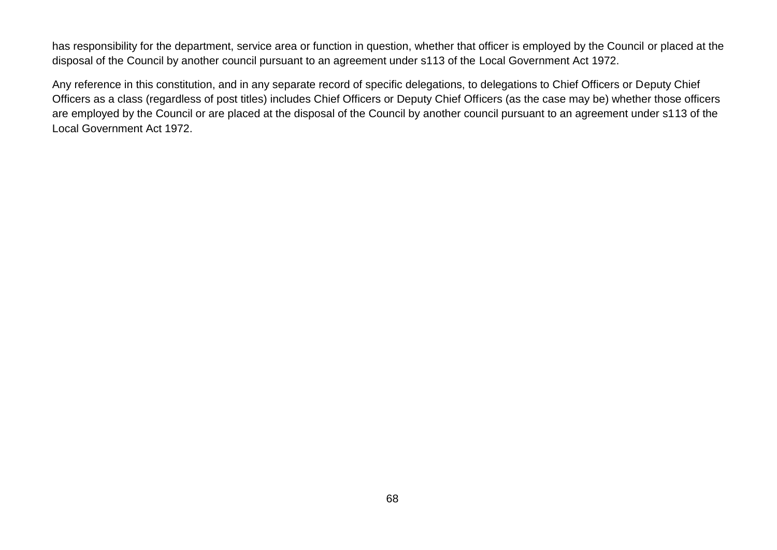has responsibility for the department, service area or function in question, whether that officer is employed by the Council or placed at the disposal of the Council by another council pursuant to an agreement under s113 of the Local Government Act 1972.

Any reference in this constitution, and in any separate record of specific delegations, to delegations to Chief Officers or Deputy Chief Officers as a class (regardless of post titles) includes Chief Officers or Deputy Chief Officers (as the case may be) whether those officers are employed by the Council or are placed at the disposal of the Council by another council pursuant to an agreement under s113 of the Local Government Act 1972.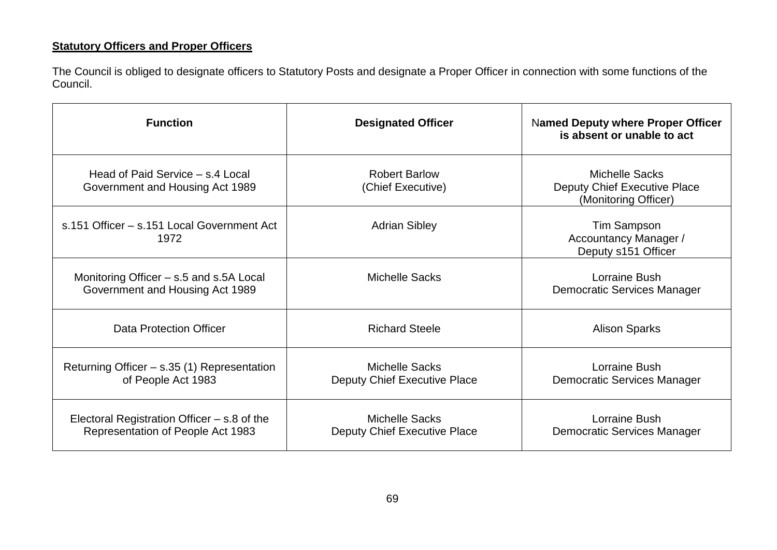## **Statutory Officers and Proper Officers**

The Council is obliged to designate officers to Statutory Posts and designate a Proper Officer in connection with some functions of the Council.

| <b>Function</b>                                                                    | <b>Designated Officer</b>                             | <b>Named Deputy where Proper Officer</b><br>is absent or unable to act               |
|------------------------------------------------------------------------------------|-------------------------------------------------------|--------------------------------------------------------------------------------------|
| Head of Paid Service – s.4 Local<br>Government and Housing Act 1989                | <b>Robert Barlow</b><br>(Chief Executive)             | <b>Michelle Sacks</b><br><b>Deputy Chief Executive Place</b><br>(Monitoring Officer) |
| s.151 Officer - s.151 Local Government Act<br>1972                                 | <b>Adrian Sibley</b>                                  | <b>Tim Sampson</b><br>Accountancy Manager /<br>Deputy s151 Officer                   |
| Monitoring Officer - s.5 and s.5A Local<br>Government and Housing Act 1989         | <b>Michelle Sacks</b>                                 | Lorraine Bush<br><b>Democratic Services Manager</b>                                  |
| Data Protection Officer                                                            | <b>Richard Steele</b>                                 | <b>Alison Sparks</b>                                                                 |
| Returning Officer - s.35 (1) Representation<br>of People Act 1983                  | <b>Michelle Sacks</b><br>Deputy Chief Executive Place | Lorraine Bush<br>Democratic Services Manager                                         |
| Electoral Registration Officer $-$ s.8 of the<br>Representation of People Act 1983 | <b>Michelle Sacks</b><br>Deputy Chief Executive Place | Lorraine Bush<br>Democratic Services Manager                                         |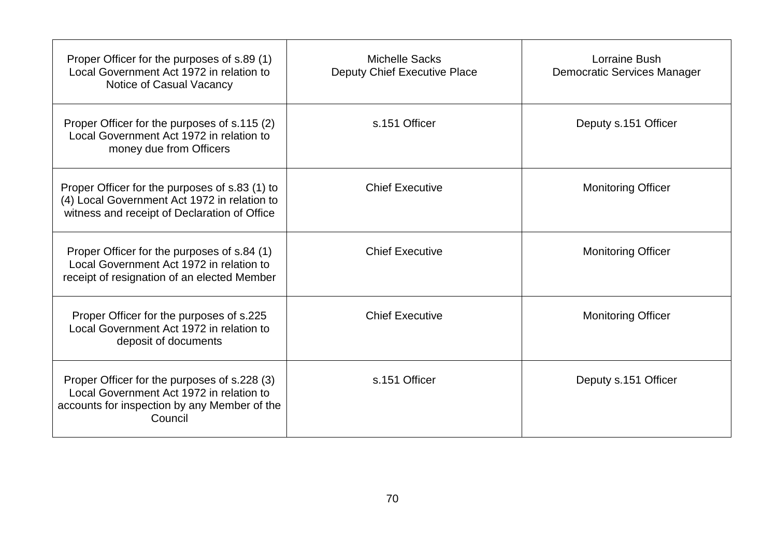| Proper Officer for the purposes of s.89 (1)<br>Local Government Act 1972 in relation to<br>Notice of Casual Vacancy                                 | <b>Michelle Sacks</b><br>Deputy Chief Executive Place | Lorraine Bush<br><b>Democratic Services Manager</b> |
|-----------------------------------------------------------------------------------------------------------------------------------------------------|-------------------------------------------------------|-----------------------------------------------------|
| Proper Officer for the purposes of s.115 (2)<br>Local Government Act 1972 in relation to<br>money due from Officers                                 | s.151 Officer                                         | Deputy s.151 Officer                                |
| Proper Officer for the purposes of s.83 (1) to<br>(4) Local Government Act 1972 in relation to<br>witness and receipt of Declaration of Office      | <b>Chief Executive</b>                                | <b>Monitoring Officer</b>                           |
| Proper Officer for the purposes of s.84 (1)<br>Local Government Act 1972 in relation to<br>receipt of resignation of an elected Member              | <b>Chief Executive</b>                                | <b>Monitoring Officer</b>                           |
| Proper Officer for the purposes of s.225<br>Local Government Act 1972 in relation to<br>deposit of documents                                        | <b>Chief Executive</b>                                | <b>Monitoring Officer</b>                           |
| Proper Officer for the purposes of s.228 (3)<br>Local Government Act 1972 in relation to<br>accounts for inspection by any Member of the<br>Council | s.151 Officer                                         | Deputy s.151 Officer                                |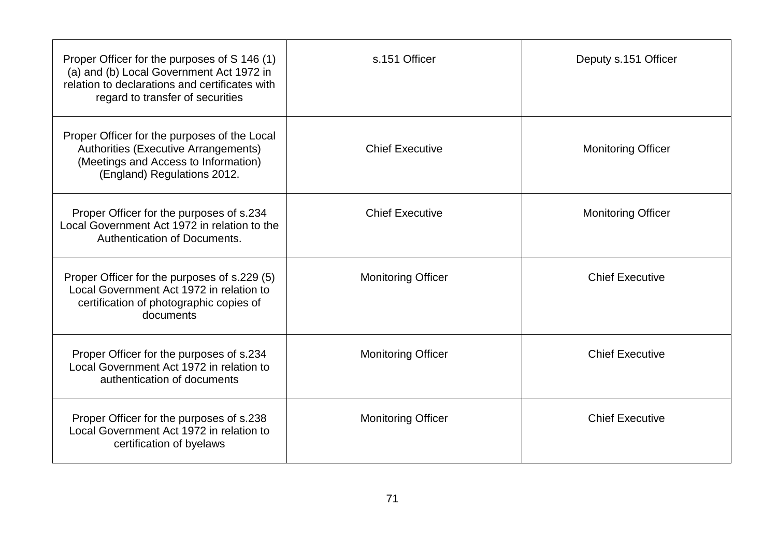| Proper Officer for the purposes of S 146 (1)<br>(a) and (b) Local Government Act 1972 in<br>relation to declarations and certificates with<br>regard to transfer of securities | s.151 Officer             | Deputy s.151 Officer      |
|--------------------------------------------------------------------------------------------------------------------------------------------------------------------------------|---------------------------|---------------------------|
| Proper Officer for the purposes of the Local<br>Authorities (Executive Arrangements)<br>(Meetings and Access to Information)<br>(England) Regulations 2012.                    | <b>Chief Executive</b>    | <b>Monitoring Officer</b> |
| Proper Officer for the purposes of s.234<br>Local Government Act 1972 in relation to the<br>Authentication of Documents.                                                       | <b>Chief Executive</b>    | <b>Monitoring Officer</b> |
| Proper Officer for the purposes of s.229 (5)<br>Local Government Act 1972 in relation to<br>certification of photographic copies of<br>documents                               | <b>Monitoring Officer</b> | <b>Chief Executive</b>    |
| Proper Officer for the purposes of s.234<br>Local Government Act 1972 in relation to<br>authentication of documents                                                            | <b>Monitoring Officer</b> | <b>Chief Executive</b>    |
| Proper Officer for the purposes of s.238<br>Local Government Act 1972 in relation to<br>certification of byelaws                                                               | <b>Monitoring Officer</b> | <b>Chief Executive</b>    |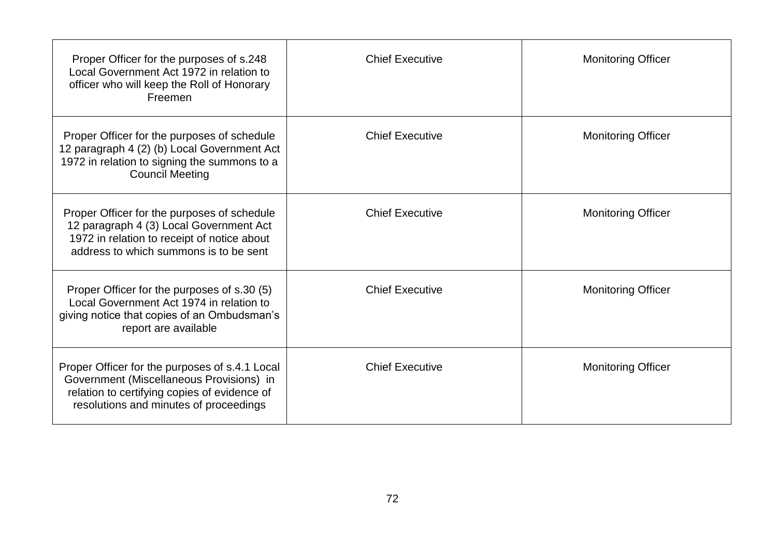| Proper Officer for the purposes of s.248<br>Local Government Act 1972 in relation to<br>officer who will keep the Roll of Honorary<br>Freemen                                        | <b>Chief Executive</b> | <b>Monitoring Officer</b> |
|--------------------------------------------------------------------------------------------------------------------------------------------------------------------------------------|------------------------|---------------------------|
| Proper Officer for the purposes of schedule<br>12 paragraph 4 (2) (b) Local Government Act<br>1972 in relation to signing the summons to a<br><b>Council Meeting</b>                 | <b>Chief Executive</b> | <b>Monitoring Officer</b> |
| Proper Officer for the purposes of schedule<br>12 paragraph 4 (3) Local Government Act<br>1972 in relation to receipt of notice about<br>address to which summons is to be sent      | <b>Chief Executive</b> | <b>Monitoring Officer</b> |
| Proper Officer for the purposes of s.30 (5)<br>Local Government Act 1974 in relation to<br>giving notice that copies of an Ombudsman's<br>report are available                       | <b>Chief Executive</b> | <b>Monitoring Officer</b> |
| Proper Officer for the purposes of s.4.1 Local<br>Government (Miscellaneous Provisions) in<br>relation to certifying copies of evidence of<br>resolutions and minutes of proceedings | <b>Chief Executive</b> | <b>Monitoring Officer</b> |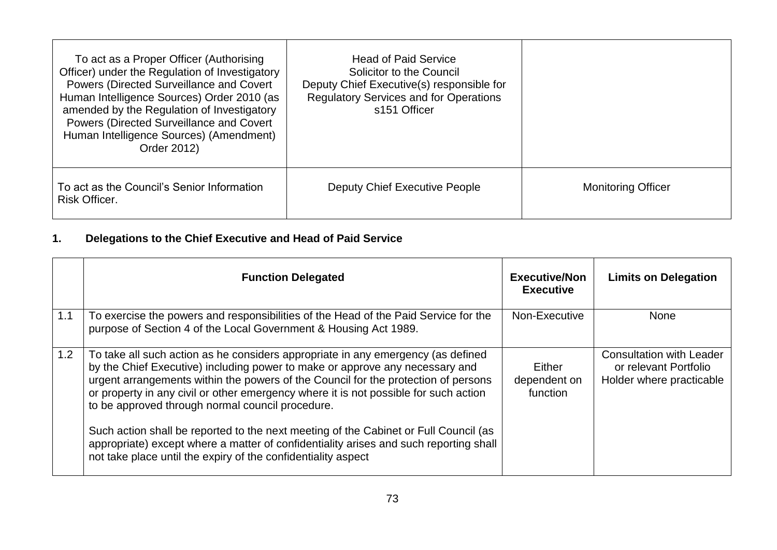| To act as a Proper Officer (Authorising<br>Officer) under the Regulation of Investigatory<br><b>Powers (Directed Surveillance and Covert</b><br>Human Intelligence Sources) Order 2010 (as<br>amended by the Regulation of Investigatory<br>Powers (Directed Surveillance and Covert<br>Human Intelligence Sources) (Amendment)<br>Order 2012) | <b>Head of Paid Service</b><br>Solicitor to the Council<br>Deputy Chief Executive(s) responsible for<br><b>Regulatory Services and for Operations</b><br>s151 Officer |                           |
|------------------------------------------------------------------------------------------------------------------------------------------------------------------------------------------------------------------------------------------------------------------------------------------------------------------------------------------------|-----------------------------------------------------------------------------------------------------------------------------------------------------------------------|---------------------------|
| To act as the Council's Senior Information<br>Risk Officer.                                                                                                                                                                                                                                                                                    | <b>Deputy Chief Executive People</b>                                                                                                                                  | <b>Monitoring Officer</b> |

## **1. Delegations to the Chief Executive and Head of Paid Service**

|     | <b>Function Delegated</b>                                                                                                                                                                                                                                                                                                                                                                          | <b>Executive/Non</b><br><b>Executive</b> | <b>Limits on Delegation</b>                                                          |
|-----|----------------------------------------------------------------------------------------------------------------------------------------------------------------------------------------------------------------------------------------------------------------------------------------------------------------------------------------------------------------------------------------------------|------------------------------------------|--------------------------------------------------------------------------------------|
| 1.1 | To exercise the powers and responsibilities of the Head of the Paid Service for the<br>purpose of Section 4 of the Local Government & Housing Act 1989.                                                                                                                                                                                                                                            | Non-Executive                            | <b>None</b>                                                                          |
| 1.2 | To take all such action as he considers appropriate in any emergency (as defined<br>by the Chief Executive) including power to make or approve any necessary and<br>urgent arrangements within the powers of the Council for the protection of persons<br>or property in any civil or other emergency where it is not possible for such action<br>to be approved through normal council procedure. | Either<br>dependent on<br>function       | <b>Consultation with Leader</b><br>or relevant Portfolio<br>Holder where practicable |
|     | Such action shall be reported to the next meeting of the Cabinet or Full Council (as<br>appropriate) except where a matter of confidentiality arises and such reporting shall<br>not take place until the expiry of the confidentiality aspect                                                                                                                                                     |                                          |                                                                                      |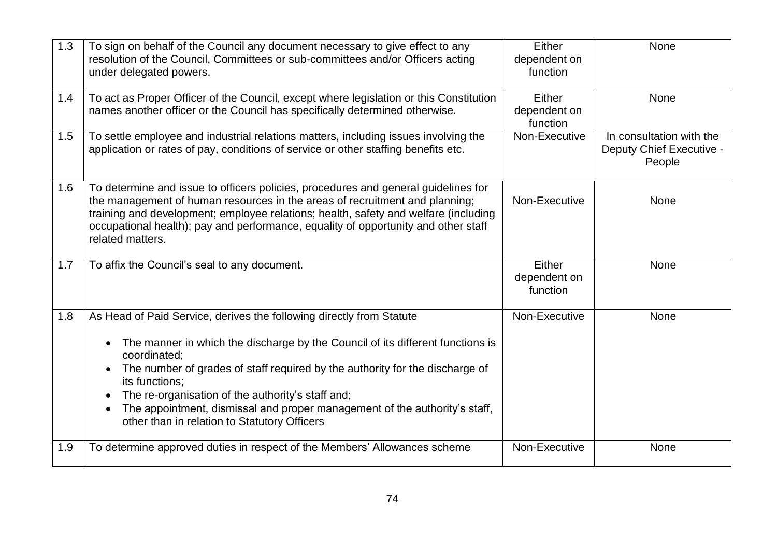| 1.3 | To sign on behalf of the Council any document necessary to give effect to any<br>resolution of the Council, Committees or sub-committees and/or Officers acting<br>under delegated powers.                                                                                                                                                                                                                                                                                                                      | Either<br>dependent on<br>function | None                                                           |
|-----|-----------------------------------------------------------------------------------------------------------------------------------------------------------------------------------------------------------------------------------------------------------------------------------------------------------------------------------------------------------------------------------------------------------------------------------------------------------------------------------------------------------------|------------------------------------|----------------------------------------------------------------|
| 1.4 | To act as Proper Officer of the Council, except where legislation or this Constitution<br>names another officer or the Council has specifically determined otherwise.                                                                                                                                                                                                                                                                                                                                           | Either<br>dependent on<br>function | <b>None</b>                                                    |
| 1.5 | To settle employee and industrial relations matters, including issues involving the<br>application or rates of pay, conditions of service or other staffing benefits etc.                                                                                                                                                                                                                                                                                                                                       | Non-Executive                      | In consultation with the<br>Deputy Chief Executive -<br>People |
| 1.6 | To determine and issue to officers policies, procedures and general guidelines for<br>the management of human resources in the areas of recruitment and planning;<br>training and development; employee relations; health, safety and welfare (including<br>occupational health); pay and performance, equality of opportunity and other staff<br>related matters.                                                                                                                                              | Non-Executive                      | <b>None</b>                                                    |
| 1.7 | To affix the Council's seal to any document.                                                                                                                                                                                                                                                                                                                                                                                                                                                                    | Either<br>dependent on<br>function | <b>None</b>                                                    |
| 1.8 | As Head of Paid Service, derives the following directly from Statute<br>The manner in which the discharge by the Council of its different functions is<br>$\bullet$<br>coordinated;<br>The number of grades of staff required by the authority for the discharge of<br>$\bullet$<br>its functions;<br>The re-organisation of the authority's staff and;<br>$\bullet$<br>The appointment, dismissal and proper management of the authority's staff,<br>$\bullet$<br>other than in relation to Statutory Officers | Non-Executive                      | <b>None</b>                                                    |
| 1.9 | To determine approved duties in respect of the Members' Allowances scheme                                                                                                                                                                                                                                                                                                                                                                                                                                       | Non-Executive                      | None                                                           |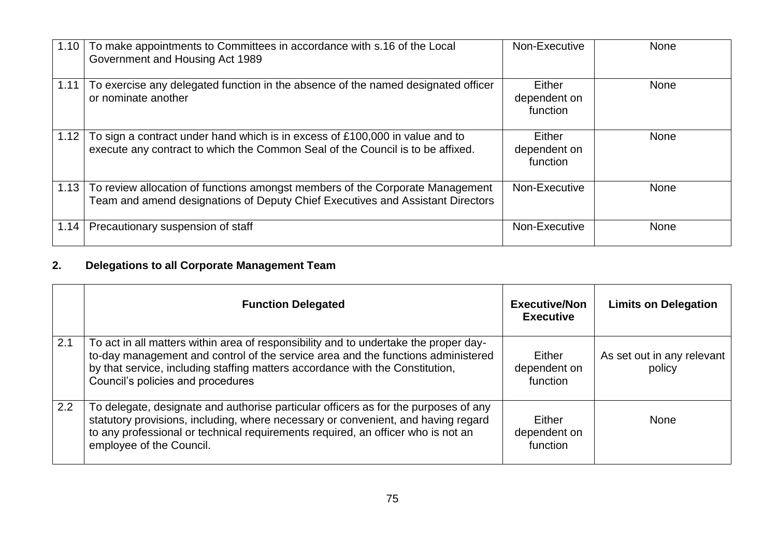| 1.10 | To make appointments to Committees in accordance with s.16 of the Local<br>Government and Housing Act 1989                                                      | Non-Executive                      | <b>None</b> |
|------|-----------------------------------------------------------------------------------------------------------------------------------------------------------------|------------------------------------|-------------|
| 1.11 | To exercise any delegated function in the absence of the named designated officer<br>or nominate another                                                        | Either<br>dependent on<br>function | <b>None</b> |
| 1.12 | To sign a contract under hand which is in excess of £100,000 in value and to<br>execute any contract to which the Common Seal of the Council is to be affixed.  | Either<br>dependent on<br>function | <b>None</b> |
| 1.13 | To review allocation of functions amongst members of the Corporate Management<br>Team and amend designations of Deputy Chief Executives and Assistant Directors | Non-Executive                      | <b>None</b> |
| 1.14 | Precautionary suspension of staff                                                                                                                               | Non-Executive                      | <b>None</b> |

# **2. Delegations to all Corporate Management Team**

|               | <b>Function Delegated</b>                                                                                                                                                                                                                                                                      | <b>Executive/Non</b><br><b>Executive</b> | <b>Limits on Delegation</b>          |
|---------------|------------------------------------------------------------------------------------------------------------------------------------------------------------------------------------------------------------------------------------------------------------------------------------------------|------------------------------------------|--------------------------------------|
| 2.1           | To act in all matters within area of responsibility and to undertake the proper day-<br>to-day management and control of the service area and the functions administered<br>by that service, including staffing matters accordance with the Constitution,<br>Council's policies and procedures | Either<br>dependent on<br>function       | As set out in any relevant<br>policy |
| $2.2^{\circ}$ | To delegate, designate and authorise particular officers as for the purposes of any<br>statutory provisions, including, where necessary or convenient, and having regard<br>to any professional or technical requirements required, an officer who is not an<br>employee of the Council.       | Either<br>dependent on<br>function       | None                                 |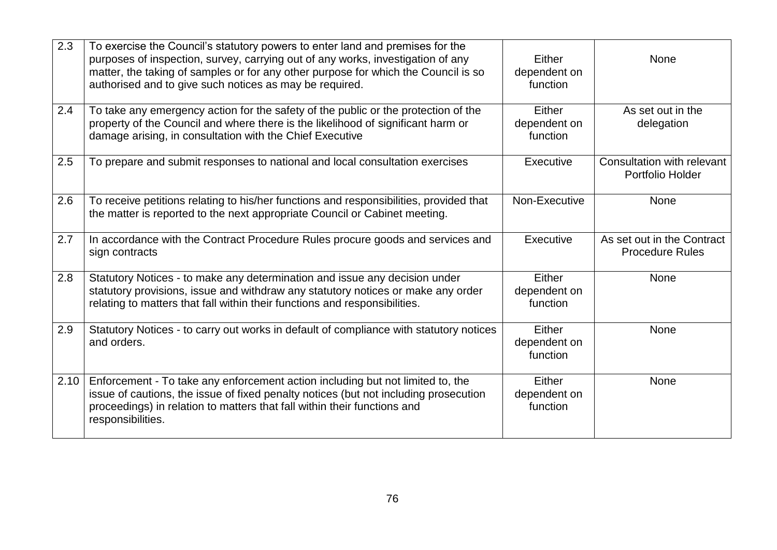| 2.3  | To exercise the Council's statutory powers to enter land and premises for the<br>purposes of inspection, survey, carrying out of any works, investigation of any<br>matter, the taking of samples or for any other purpose for which the Council is so<br>authorised and to give such notices as may be required. | Either<br>dependent on<br>function | <b>None</b>                                          |
|------|-------------------------------------------------------------------------------------------------------------------------------------------------------------------------------------------------------------------------------------------------------------------------------------------------------------------|------------------------------------|------------------------------------------------------|
| 2.4  | To take any emergency action for the safety of the public or the protection of the<br>property of the Council and where there is the likelihood of significant harm or<br>damage arising, in consultation with the Chief Executive                                                                                | Either<br>dependent on<br>function | As set out in the<br>delegation                      |
| 2.5  | To prepare and submit responses to national and local consultation exercises                                                                                                                                                                                                                                      | Executive                          | Consultation with relevant<br>Portfolio Holder       |
| 2.6  | To receive petitions relating to his/her functions and responsibilities, provided that<br>the matter is reported to the next appropriate Council or Cabinet meeting.                                                                                                                                              | Non-Executive                      | None                                                 |
| 2.7  | In accordance with the Contract Procedure Rules procure goods and services and<br>sign contracts                                                                                                                                                                                                                  | Executive                          | As set out in the Contract<br><b>Procedure Rules</b> |
| 2.8  | Statutory Notices - to make any determination and issue any decision under<br>statutory provisions, issue and withdraw any statutory notices or make any order<br>relating to matters that fall within their functions and responsibilities.                                                                      | Either<br>dependent on<br>function | None                                                 |
| 2.9  | Statutory Notices - to carry out works in default of compliance with statutory notices<br>and orders.                                                                                                                                                                                                             | Either<br>dependent on<br>function | <b>None</b>                                          |
| 2.10 | Enforcement - To take any enforcement action including but not limited to, the<br>issue of cautions, the issue of fixed penalty notices (but not including prosecution<br>proceedings) in relation to matters that fall within their functions and<br>responsibilities.                                           | Either<br>dependent on<br>function | <b>None</b>                                          |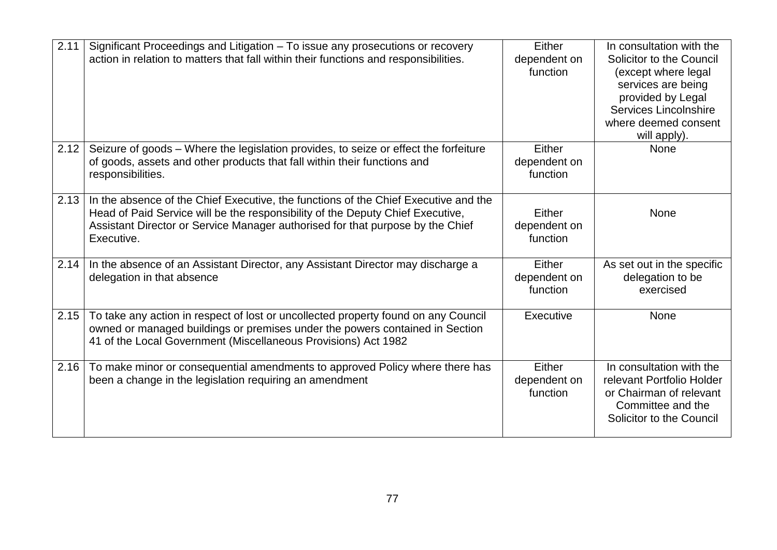| 2.11 | Significant Proceedings and Litigation - To issue any prosecutions or recovery<br>action in relation to matters that fall within their functions and responsibilities.                                                                                                | Either<br>dependent on<br>function | In consultation with the<br>Solicitor to the Council<br>(except where legal<br>services are being<br>provided by Legal<br>Services Lincolnshire<br>where deemed consent<br>will apply). |
|------|-----------------------------------------------------------------------------------------------------------------------------------------------------------------------------------------------------------------------------------------------------------------------|------------------------------------|-----------------------------------------------------------------------------------------------------------------------------------------------------------------------------------------|
| 2.12 | Seizure of goods - Where the legislation provides, to seize or effect the forfeiture<br>of goods, assets and other products that fall within their functions and<br>responsibilities.                                                                                 | Either<br>dependent on<br>function | <b>None</b>                                                                                                                                                                             |
| 2.13 | In the absence of the Chief Executive, the functions of the Chief Executive and the<br>Head of Paid Service will be the responsibility of the Deputy Chief Executive,<br>Assistant Director or Service Manager authorised for that purpose by the Chief<br>Executive. | Either<br>dependent on<br>function | None                                                                                                                                                                                    |
| 2.14 | In the absence of an Assistant Director, any Assistant Director may discharge a<br>delegation in that absence                                                                                                                                                         | Either<br>dependent on<br>function | As set out in the specific<br>delegation to be<br>exercised                                                                                                                             |
| 2.15 | To take any action in respect of lost or uncollected property found on any Council<br>owned or managed buildings or premises under the powers contained in Section<br>41 of the Local Government (Miscellaneous Provisions) Act 1982                                  | Executive                          | None                                                                                                                                                                                    |
| 2.16 | To make minor or consequential amendments to approved Policy where there has<br>been a change in the legislation requiring an amendment                                                                                                                               | Either<br>dependent on<br>function | In consultation with the<br>relevant Portfolio Holder<br>or Chairman of relevant<br>Committee and the<br>Solicitor to the Council                                                       |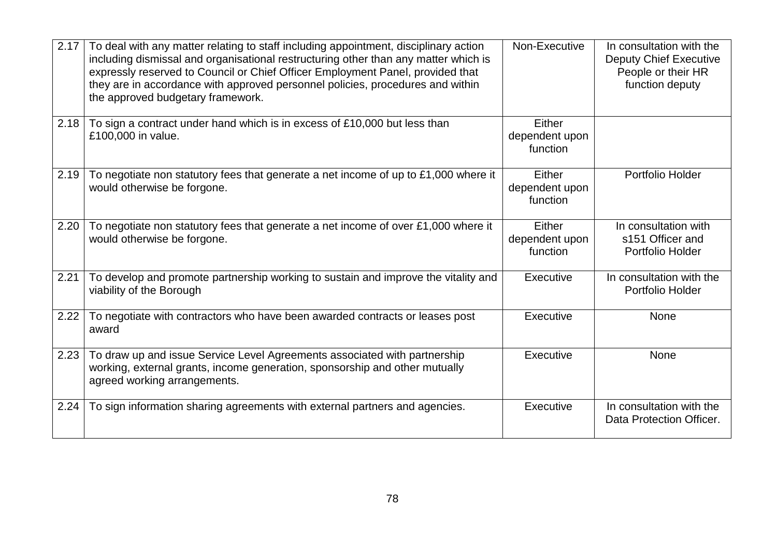| 2.17 | To deal with any matter relating to staff including appointment, disciplinary action<br>including dismissal and organisational restructuring other than any matter which is<br>expressly reserved to Council or Chief Officer Employment Panel, provided that<br>they are in accordance with approved personnel policies, procedures and within<br>the approved budgetary framework. | Non-Executive                        | In consultation with the<br><b>Deputy Chief Executive</b><br>People or their HR<br>function deputy |
|------|--------------------------------------------------------------------------------------------------------------------------------------------------------------------------------------------------------------------------------------------------------------------------------------------------------------------------------------------------------------------------------------|--------------------------------------|----------------------------------------------------------------------------------------------------|
| 2.18 | To sign a contract under hand which is in excess of £10,000 but less than<br>£100,000 in value.                                                                                                                                                                                                                                                                                      | Either<br>dependent upon<br>function |                                                                                                    |
| 2.19 | To negotiate non statutory fees that generate a net income of up to £1,000 where it<br>would otherwise be forgone.                                                                                                                                                                                                                                                                   | Either<br>dependent upon<br>function | Portfolio Holder                                                                                   |
| 2.20 | To negotiate non statutory fees that generate a net income of over £1,000 where it<br>would otherwise be forgone.                                                                                                                                                                                                                                                                    | Either<br>dependent upon<br>function | In consultation with<br>s151 Officer and<br>Portfolio Holder                                       |
| 2.21 | To develop and promote partnership working to sustain and improve the vitality and<br>viability of the Borough                                                                                                                                                                                                                                                                       | Executive                            | In consultation with the<br>Portfolio Holder                                                       |
| 2.22 | To negotiate with contractors who have been awarded contracts or leases post<br>award                                                                                                                                                                                                                                                                                                | Executive                            | None                                                                                               |
| 2.23 | To draw up and issue Service Level Agreements associated with partnership<br>working, external grants, income generation, sponsorship and other mutually<br>agreed working arrangements.                                                                                                                                                                                             | Executive                            | <b>None</b>                                                                                        |
| 2.24 | To sign information sharing agreements with external partners and agencies.                                                                                                                                                                                                                                                                                                          | Executive                            | In consultation with the<br>Data Protection Officer.                                               |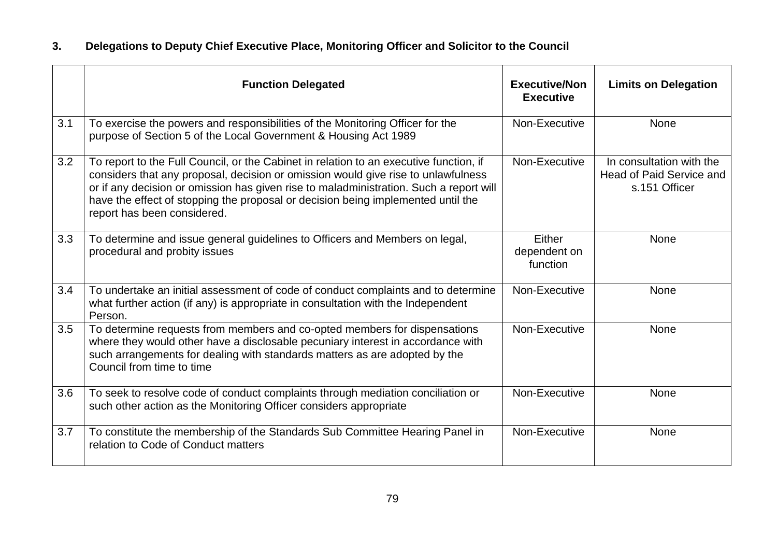## **3. Delegations to Deputy Chief Executive Place, Monitoring Officer and Solicitor to the Council**

|     | <b>Function Delegated</b>                                                                                                                                                                                                                                                                                                                                                                | <b>Executive/Non</b><br><b>Executive</b> | <b>Limits on Delegation</b>                                           |
|-----|------------------------------------------------------------------------------------------------------------------------------------------------------------------------------------------------------------------------------------------------------------------------------------------------------------------------------------------------------------------------------------------|------------------------------------------|-----------------------------------------------------------------------|
| 3.1 | To exercise the powers and responsibilities of the Monitoring Officer for the<br>purpose of Section 5 of the Local Government & Housing Act 1989                                                                                                                                                                                                                                         | Non-Executive                            | None                                                                  |
| 3.2 | To report to the Full Council, or the Cabinet in relation to an executive function, if<br>considers that any proposal, decision or omission would give rise to unlawfulness<br>or if any decision or omission has given rise to maladministration. Such a report will<br>have the effect of stopping the proposal or decision being implemented until the<br>report has been considered. | Non-Executive                            | In consultation with the<br>Head of Paid Service and<br>s.151 Officer |
| 3.3 | To determine and issue general guidelines to Officers and Members on legal,<br>procedural and probity issues                                                                                                                                                                                                                                                                             | Either<br>dependent on<br>function       | None                                                                  |
| 3.4 | To undertake an initial assessment of code of conduct complaints and to determine<br>what further action (if any) is appropriate in consultation with the Independent<br>Person.                                                                                                                                                                                                         | Non-Executive                            | None                                                                  |
| 3.5 | To determine requests from members and co-opted members for dispensations<br>where they would other have a disclosable pecuniary interest in accordance with<br>such arrangements for dealing with standards matters as are adopted by the<br>Council from time to time                                                                                                                  | Non-Executive                            | <b>None</b>                                                           |
| 3.6 | To seek to resolve code of conduct complaints through mediation conciliation or<br>such other action as the Monitoring Officer considers appropriate                                                                                                                                                                                                                                     | Non-Executive                            | <b>None</b>                                                           |
| 3.7 | To constitute the membership of the Standards Sub Committee Hearing Panel in<br>relation to Code of Conduct matters                                                                                                                                                                                                                                                                      | Non-Executive                            | <b>None</b>                                                           |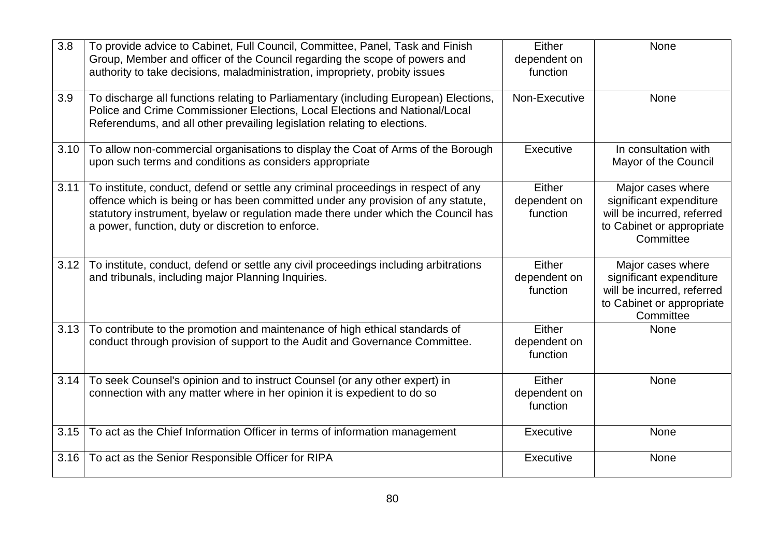| 3.8  | To provide advice to Cabinet, Full Council, Committee, Panel, Task and Finish<br>Group, Member and officer of the Council regarding the scope of powers and<br>authority to take decisions, maladministration, impropriety, probity issues                                                                       | Either<br>dependent on<br>function | <b>None</b>                                                                                                          |
|------|------------------------------------------------------------------------------------------------------------------------------------------------------------------------------------------------------------------------------------------------------------------------------------------------------------------|------------------------------------|----------------------------------------------------------------------------------------------------------------------|
| 3.9  | To discharge all functions relating to Parliamentary (including European) Elections,<br>Police and Crime Commissioner Elections, Local Elections and National/Local<br>Referendums, and all other prevailing legislation relating to elections.                                                                  | Non-Executive                      | <b>None</b>                                                                                                          |
| 3.10 | To allow non-commercial organisations to display the Coat of Arms of the Borough<br>upon such terms and conditions as considers appropriate                                                                                                                                                                      | Executive                          | In consultation with<br>Mayor of the Council                                                                         |
| 3.11 | To institute, conduct, defend or settle any criminal proceedings in respect of any<br>offence which is being or has been committed under any provision of any statute,<br>statutory instrument, byelaw or regulation made there under which the Council has<br>a power, function, duty or discretion to enforce. | Either<br>dependent on<br>function | Major cases where<br>significant expenditure<br>will be incurred, referred<br>to Cabinet or appropriate<br>Committee |
| 3.12 | To institute, conduct, defend or settle any civil proceedings including arbitrations<br>and tribunals, including major Planning Inquiries.                                                                                                                                                                       | Either<br>dependent on<br>function | Major cases where<br>significant expenditure<br>will be incurred, referred<br>to Cabinet or appropriate<br>Committee |
| 3.13 | To contribute to the promotion and maintenance of high ethical standards of<br>conduct through provision of support to the Audit and Governance Committee.                                                                                                                                                       | Either<br>dependent on<br>function | <b>None</b>                                                                                                          |
| 3.14 | To seek Counsel's opinion and to instruct Counsel (or any other expert) in<br>connection with any matter where in her opinion it is expedient to do so                                                                                                                                                           | Either<br>dependent on<br>function | <b>None</b>                                                                                                          |
| 3.15 | To act as the Chief Information Officer in terms of information management                                                                                                                                                                                                                                       | Executive                          | None                                                                                                                 |
| 3.16 | To act as the Senior Responsible Officer for RIPA                                                                                                                                                                                                                                                                | Executive                          | None                                                                                                                 |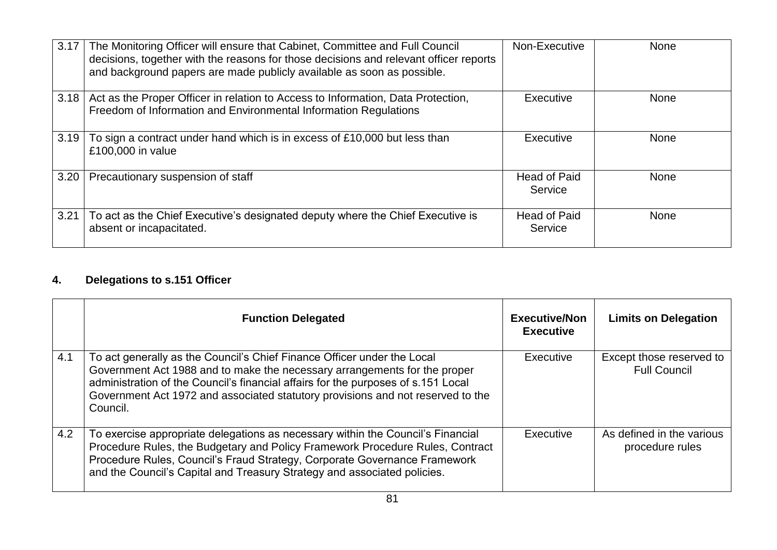| 3.17 | The Monitoring Officer will ensure that Cabinet, Committee and Full Council<br>decisions, together with the reasons for those decisions and relevant officer reports<br>and background papers are made publicly available as soon as possible. | Non-Executive                  | <b>None</b> |
|------|------------------------------------------------------------------------------------------------------------------------------------------------------------------------------------------------------------------------------------------------|--------------------------------|-------------|
| 3.18 | Act as the Proper Officer in relation to Access to Information, Data Protection,<br>Freedom of Information and Environmental Information Regulations                                                                                           | Executive                      | <b>None</b> |
| 3.19 | To sign a contract under hand which is in excess of £10,000 but less than<br>£100,000 in value                                                                                                                                                 | Executive                      | <b>None</b> |
| 3.20 | Precautionary suspension of staff                                                                                                                                                                                                              | <b>Head of Paid</b><br>Service | <b>None</b> |
| 3.21 | To act as the Chief Executive's designated deputy where the Chief Executive is<br>absent or incapacitated.                                                                                                                                     | Head of Paid<br>Service        | <b>None</b> |

## **4. Delegations to s.151 Officer**

|     | <b>Function Delegated</b>                                                                                                                                                                                                                                                                                                                | <b>Executive/Non</b><br><b>Executive</b> | <b>Limits on Delegation</b>                     |
|-----|------------------------------------------------------------------------------------------------------------------------------------------------------------------------------------------------------------------------------------------------------------------------------------------------------------------------------------------|------------------------------------------|-------------------------------------------------|
| 4.1 | To act generally as the Council's Chief Finance Officer under the Local<br>Government Act 1988 and to make the necessary arrangements for the proper<br>administration of the Council's financial affairs for the purposes of s.151 Local<br>Government Act 1972 and associated statutory provisions and not reserved to the<br>Council. | Executive                                | Except those reserved to<br><b>Full Council</b> |
| 4.2 | To exercise appropriate delegations as necessary within the Council's Financial<br>Procedure Rules, the Budgetary and Policy Framework Procedure Rules, Contract<br>Procedure Rules, Council's Fraud Strategy, Corporate Governance Framework<br>and the Council's Capital and Treasury Strategy and associated policies.                | Executive                                | As defined in the various<br>procedure rules    |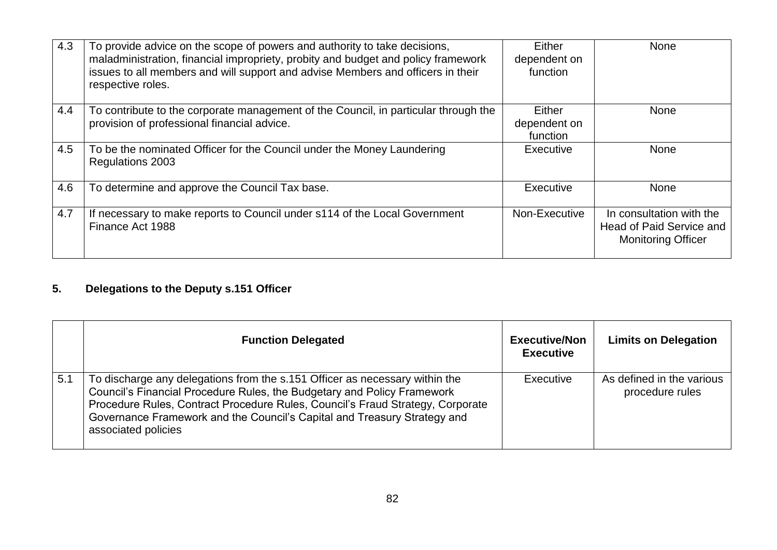| 4.3 | To provide advice on the scope of powers and authority to take decisions,<br>maladministration, financial impropriety, probity and budget and policy framework<br>issues to all members and will support and advise Members and officers in their<br>respective roles. | Either<br>dependent on<br>function | <b>None</b>                                                                       |
|-----|------------------------------------------------------------------------------------------------------------------------------------------------------------------------------------------------------------------------------------------------------------------------|------------------------------------|-----------------------------------------------------------------------------------|
| 4.4 | To contribute to the corporate management of the Council, in particular through the<br>provision of professional financial advice.                                                                                                                                     | Either<br>dependent on<br>function | <b>None</b>                                                                       |
| 4.5 | To be the nominated Officer for the Council under the Money Laundering<br>Regulations 2003                                                                                                                                                                             | Executive                          | <b>None</b>                                                                       |
| 4.6 | To determine and approve the Council Tax base.                                                                                                                                                                                                                         | Executive                          | <b>None</b>                                                                       |
| 4.7 | If necessary to make reports to Council under s114 of the Local Government<br>Finance Act 1988                                                                                                                                                                         | Non-Executive                      | In consultation with the<br>Head of Paid Service and<br><b>Monitoring Officer</b> |

# **5. Delegations to the Deputy s.151 Officer**

|     | <b>Function Delegated</b>                                                                                                                                                                                                                                                                                                                   | <b>Executive/Non</b><br><b>Executive</b> | <b>Limits on Delegation</b>                  |
|-----|---------------------------------------------------------------------------------------------------------------------------------------------------------------------------------------------------------------------------------------------------------------------------------------------------------------------------------------------|------------------------------------------|----------------------------------------------|
| 5.1 | To discharge any delegations from the s.151 Officer as necessary within the<br>Council's Financial Procedure Rules, the Budgetary and Policy Framework<br>Procedure Rules, Contract Procedure Rules, Council's Fraud Strategy, Corporate<br>Governance Framework and the Council's Capital and Treasury Strategy and<br>associated policies | Executive                                | As defined in the various<br>procedure rules |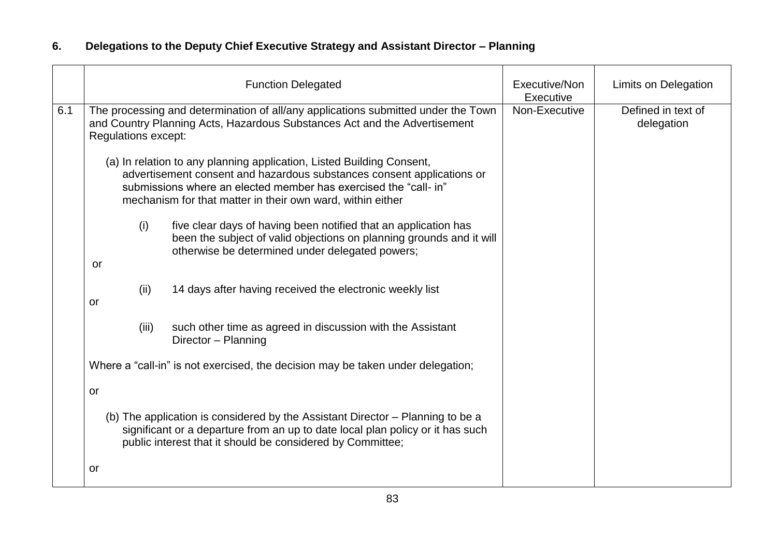## **6. Delegations to the Deputy Chief Executive Strategy and Assistant Director – Planning**

|     |                     | <b>Function Delegated</b>                                                                                                                                                                                                                                                         | Executive/Non<br>Executive | Limits on Delegation             |
|-----|---------------------|-----------------------------------------------------------------------------------------------------------------------------------------------------------------------------------------------------------------------------------------------------------------------------------|----------------------------|----------------------------------|
| 6.1 | Regulations except: | The processing and determination of all/any applications submitted under the Town<br>and Country Planning Acts, Hazardous Substances Act and the Advertisement                                                                                                                    | Non-Executive              | Defined in text of<br>delegation |
|     |                     | (a) In relation to any planning application, Listed Building Consent,<br>advertisement consent and hazardous substances consent applications or<br>submissions where an elected member has exercised the "call- in"<br>mechanism for that matter in their own ward, within either |                            |                                  |
|     | (i)<br>or           | five clear days of having been notified that an application has<br>been the subject of valid objections on planning grounds and it will<br>otherwise be determined under delegated powers;                                                                                        |                            |                                  |
|     | (ii)<br>or          | 14 days after having received the electronic weekly list                                                                                                                                                                                                                          |                            |                                  |
|     | (iii)               | such other time as agreed in discussion with the Assistant<br>Director - Planning                                                                                                                                                                                                 |                            |                                  |
|     |                     | Where a "call-in" is not exercised, the decision may be taken under delegation;                                                                                                                                                                                                   |                            |                                  |
|     | or                  |                                                                                                                                                                                                                                                                                   |                            |                                  |
|     |                     | (b) The application is considered by the Assistant Director – Planning to be a<br>significant or a departure from an up to date local plan policy or it has such<br>public interest that it should be considered by Committee;                                                    |                            |                                  |
|     | or                  |                                                                                                                                                                                                                                                                                   |                            |                                  |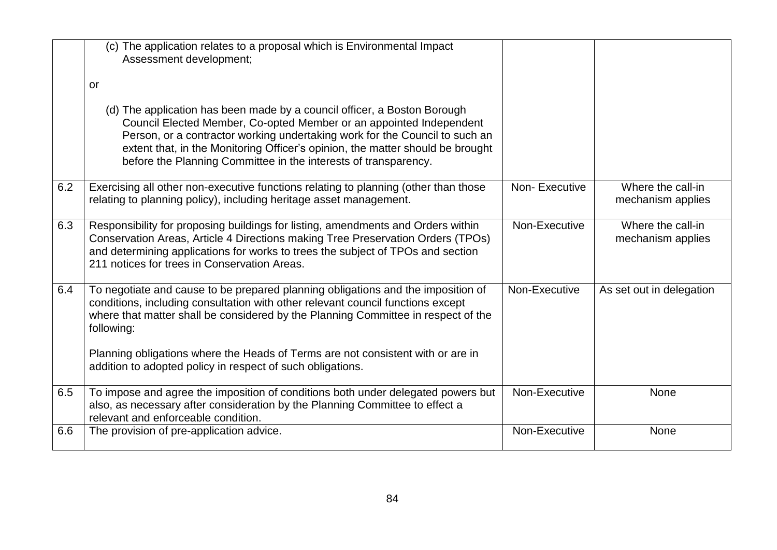|     | (c) The application relates to a proposal which is Environmental Impact<br>Assessment development;                                                                                                                                                                                                                                                                                  |               |                                        |
|-----|-------------------------------------------------------------------------------------------------------------------------------------------------------------------------------------------------------------------------------------------------------------------------------------------------------------------------------------------------------------------------------------|---------------|----------------------------------------|
|     | or                                                                                                                                                                                                                                                                                                                                                                                  |               |                                        |
|     | (d) The application has been made by a council officer, a Boston Borough<br>Council Elected Member, Co-opted Member or an appointed Independent<br>Person, or a contractor working undertaking work for the Council to such an<br>extent that, in the Monitoring Officer's opinion, the matter should be brought<br>before the Planning Committee in the interests of transparency. |               |                                        |
| 6.2 | Exercising all other non-executive functions relating to planning (other than those<br>relating to planning policy), including heritage asset management.                                                                                                                                                                                                                           | Non-Executive | Where the call-in<br>mechanism applies |
| 6.3 | Responsibility for proposing buildings for listing, amendments and Orders within<br>Conservation Areas, Article 4 Directions making Tree Preservation Orders (TPOs)<br>and determining applications for works to trees the subject of TPOs and section<br>211 notices for trees in Conservation Areas.                                                                              | Non-Executive | Where the call-in<br>mechanism applies |
| 6.4 | To negotiate and cause to be prepared planning obligations and the imposition of<br>conditions, including consultation with other relevant council functions except<br>where that matter shall be considered by the Planning Committee in respect of the<br>following:                                                                                                              | Non-Executive | As set out in delegation               |
|     | Planning obligations where the Heads of Terms are not consistent with or are in<br>addition to adopted policy in respect of such obligations.                                                                                                                                                                                                                                       |               |                                        |
| 6.5 | To impose and agree the imposition of conditions both under delegated powers but<br>also, as necessary after consideration by the Planning Committee to effect a<br>relevant and enforceable condition.                                                                                                                                                                             | Non-Executive | None                                   |
| 6.6 | The provision of pre-application advice.                                                                                                                                                                                                                                                                                                                                            | Non-Executive | None                                   |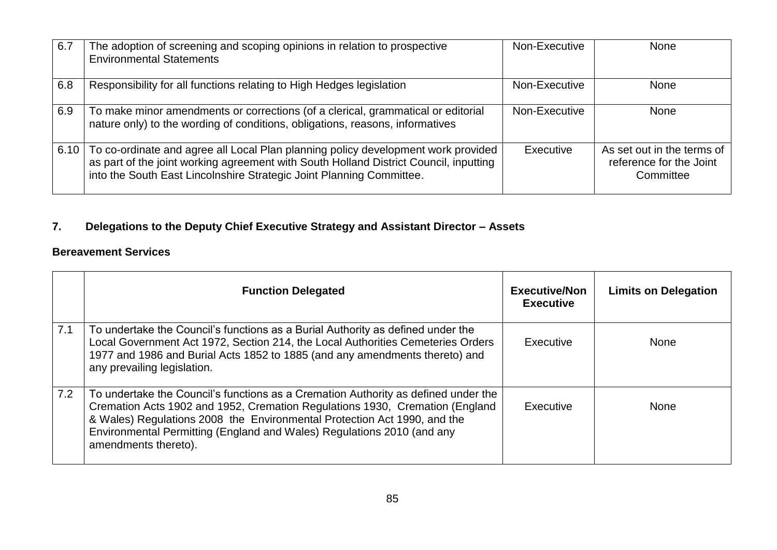| 6.7  | The adoption of screening and scoping opinions in relation to prospective<br><b>Environmental Statements</b>                                                                                                                                       | Non-Executive | <b>None</b>                                                        |
|------|----------------------------------------------------------------------------------------------------------------------------------------------------------------------------------------------------------------------------------------------------|---------------|--------------------------------------------------------------------|
| 6.8  | Responsibility for all functions relating to High Hedges legislation                                                                                                                                                                               | Non-Executive | <b>None</b>                                                        |
| 6.9  | To make minor amendments or corrections (of a clerical, grammatical or editorial<br>nature only) to the wording of conditions, obligations, reasons, informatives                                                                                  | Non-Executive | <b>None</b>                                                        |
| 6.10 | To co-ordinate and agree all Local Plan planning policy development work provided<br>as part of the joint working agreement with South Holland District Council, inputting<br>into the South East Lincolnshire Strategic Joint Planning Committee. | Executive     | As set out in the terms of<br>reference for the Joint<br>Committee |

# **7. Delegations to the Deputy Chief Executive Strategy and Assistant Director – Assets**

#### **Bereavement Services**

|     | <b>Function Delegated</b>                                                                                                                                                                                                                                                                                                                        | <b>Executive/Non</b><br><b>Executive</b> | <b>Limits on Delegation</b> |
|-----|--------------------------------------------------------------------------------------------------------------------------------------------------------------------------------------------------------------------------------------------------------------------------------------------------------------------------------------------------|------------------------------------------|-----------------------------|
| 7.1 | To undertake the Council's functions as a Burial Authority as defined under the<br>Local Government Act 1972, Section 214, the Local Authorities Cemeteries Orders<br>1977 and 1986 and Burial Acts 1852 to 1885 (and any amendments thereto) and<br>any prevailing legislation.                                                                 | Executive                                | <b>None</b>                 |
| 7.2 | To undertake the Council's functions as a Cremation Authority as defined under the<br>Cremation Acts 1902 and 1952, Cremation Regulations 1930, Cremation (England<br>& Wales) Regulations 2008 the Environmental Protection Act 1990, and the<br>Environmental Permitting (England and Wales) Regulations 2010 (and any<br>amendments thereto). | Executive                                | <b>None</b>                 |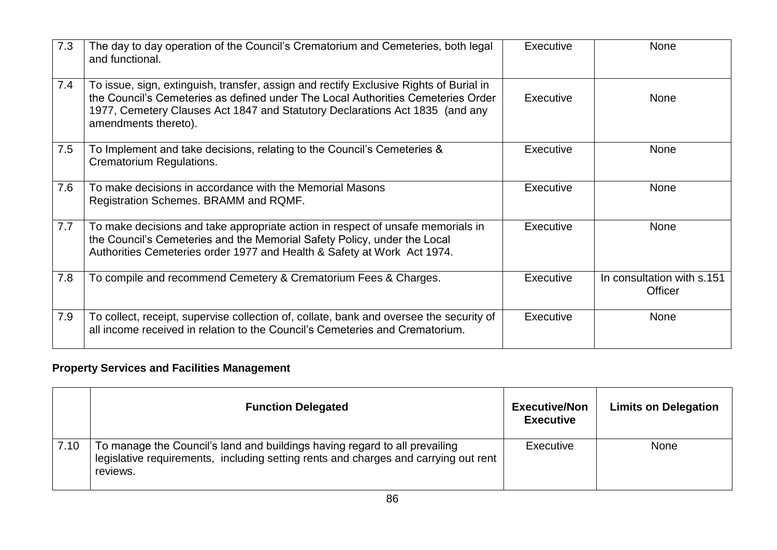| 7.3 | The day to day operation of the Council's Crematorium and Cemeteries, both legal<br>and functional.                                                                                                                                                                                | Executive | <b>None</b>                           |
|-----|------------------------------------------------------------------------------------------------------------------------------------------------------------------------------------------------------------------------------------------------------------------------------------|-----------|---------------------------------------|
| 7.4 | To issue, sign, extinguish, transfer, assign and rectify Exclusive Rights of Burial in<br>the Council's Cemeteries as defined under The Local Authorities Cemeteries Order<br>1977, Cemetery Clauses Act 1847 and Statutory Declarations Act 1835 (and any<br>amendments thereto). | Executive | <b>None</b>                           |
| 7.5 | To Implement and take decisions, relating to the Council's Cemeteries $\&$<br><b>Crematorium Regulations.</b>                                                                                                                                                                      | Executive | <b>None</b>                           |
| 7.6 | To make decisions in accordance with the Memorial Masons<br>Registration Schemes. BRAMM and RQMF.                                                                                                                                                                                  | Executive | <b>None</b>                           |
| 7.7 | To make decisions and take appropriate action in respect of unsafe memorials in<br>the Council's Cemeteries and the Memorial Safety Policy, under the Local<br>Authorities Cemeteries order 1977 and Health & Safety at Work Act 1974.                                             | Executive | <b>None</b>                           |
| 7.8 | To compile and recommend Cemetery & Crematorium Fees & Charges.                                                                                                                                                                                                                    | Executive | In consultation with s.151<br>Officer |
| 7.9 | To collect, receipt, supervise collection of, collate, bank and oversee the security of<br>all income received in relation to the Council's Cemeteries and Crematorium.                                                                                                            | Executive | <b>None</b>                           |

## **Property Services and Facilities Management**

|       | <b>Function Delegated</b>                                                                                                                                                     | <b>Executive/Non</b><br><b>Executive</b> | <b>Limits on Delegation</b> |
|-------|-------------------------------------------------------------------------------------------------------------------------------------------------------------------------------|------------------------------------------|-----------------------------|
| 17.10 | To manage the Council's land and buildings having regard to all prevailing<br>legislative requirements, including setting rents and charges and carrying out rent<br>reviews. | Executive                                | <b>None</b>                 |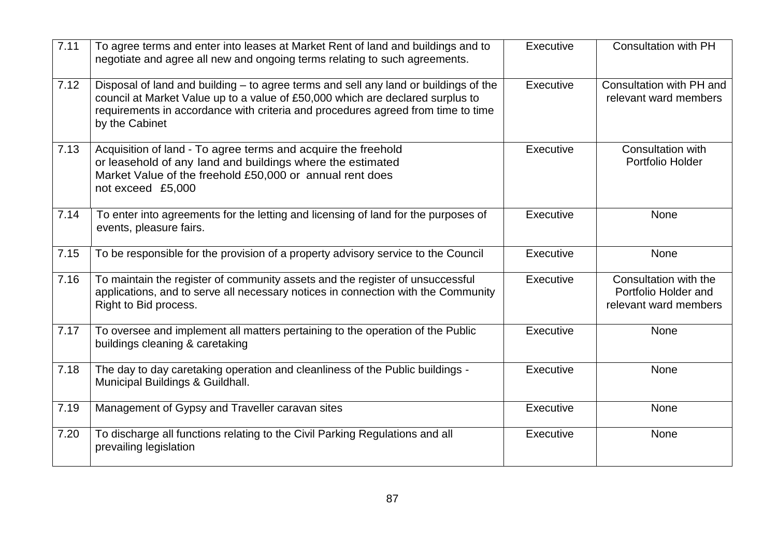| 7.11 | To agree terms and enter into leases at Market Rent of land and buildings and to<br>negotiate and agree all new and ongoing terms relating to such agreements.                                                                                                               | Executive | <b>Consultation with PH</b>                                            |
|------|------------------------------------------------------------------------------------------------------------------------------------------------------------------------------------------------------------------------------------------------------------------------------|-----------|------------------------------------------------------------------------|
| 7.12 | Disposal of land and building - to agree terms and sell any land or buildings of the<br>council at Market Value up to a value of £50,000 which are declared surplus to<br>requirements in accordance with criteria and procedures agreed from time to time<br>by the Cabinet | Executive | Consultation with PH and<br>relevant ward members                      |
| 7.13 | Acquisition of land - To agree terms and acquire the freehold<br>or leasehold of any land and buildings where the estimated<br>Market Value of the freehold £50,000 or annual rent does<br>not exceed £5,000                                                                 | Executive | <b>Consultation with</b><br>Portfolio Holder                           |
| 7.14 | To enter into agreements for the letting and licensing of land for the purposes of<br>events, pleasure fairs.                                                                                                                                                                | Executive | None                                                                   |
| 7.15 | To be responsible for the provision of a property advisory service to the Council                                                                                                                                                                                            | Executive | None                                                                   |
| 7.16 | To maintain the register of community assets and the register of unsuccessful<br>applications, and to serve all necessary notices in connection with the Community<br>Right to Bid process.                                                                                  | Executive | Consultation with the<br>Portfolio Holder and<br>relevant ward members |
| 7.17 | To oversee and implement all matters pertaining to the operation of the Public<br>buildings cleaning & caretaking                                                                                                                                                            | Executive | None                                                                   |
| 7.18 | The day to day caretaking operation and cleanliness of the Public buildings -<br>Municipal Buildings & Guildhall.                                                                                                                                                            | Executive | None                                                                   |
| 7.19 | Management of Gypsy and Traveller caravan sites                                                                                                                                                                                                                              | Executive | None                                                                   |
| 7.20 | To discharge all functions relating to the Civil Parking Regulations and all<br>prevailing legislation                                                                                                                                                                       | Executive | None                                                                   |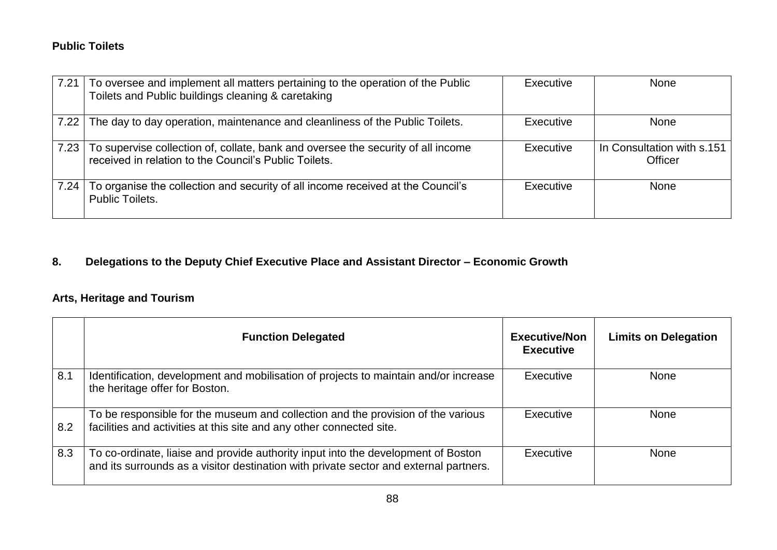#### **Public Toilets**

| 7.21 | To oversee and implement all matters pertaining to the operation of the Public<br>Toilets and Public buildings cleaning & caretaking      | Executive | <b>None</b>                                  |
|------|-------------------------------------------------------------------------------------------------------------------------------------------|-----------|----------------------------------------------|
| 7.22 | The day to day operation, maintenance and cleanliness of the Public Toilets.                                                              | Executive | <b>None</b>                                  |
| 7.23 | To supervise collection of, collate, bank and oversee the security of all income<br>received in relation to the Council's Public Toilets. | Executive | In Consultation with s.151<br><b>Officer</b> |
| 7.24 | To organise the collection and security of all income received at the Council's<br><b>Public Toilets.</b>                                 | Executive | <b>None</b>                                  |

## **8. Delegations to the Deputy Chief Executive Place and Assistant Director – Economic Growth**

## **Arts, Heritage and Tourism**

|     | <b>Function Delegated</b>                                                                                                                                                  | <b>Executive/Non</b><br><b>Executive</b> | <b>Limits on Delegation</b> |
|-----|----------------------------------------------------------------------------------------------------------------------------------------------------------------------------|------------------------------------------|-----------------------------|
| 8.1 | Identification, development and mobilisation of projects to maintain and/or increase<br>the heritage offer for Boston.                                                     | Executive                                | None                        |
| 8.2 | To be responsible for the museum and collection and the provision of the various<br>facilities and activities at this site and any other connected site.                   | Executive                                | None                        |
| 8.3 | To co-ordinate, liaise and provide authority input into the development of Boston<br>and its surrounds as a visitor destination with private sector and external partners. | Executive                                | <b>None</b>                 |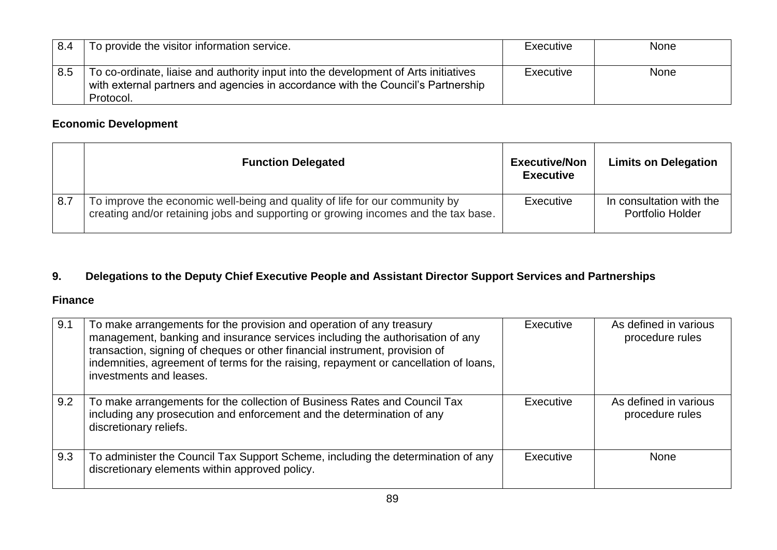| 8.4 | To provide the visitor information service.                                                                                                                                          | Executive        | <b>None</b> |
|-----|--------------------------------------------------------------------------------------------------------------------------------------------------------------------------------------|------------------|-------------|
| 8.5 | To co-ordinate, liaise and authority input into the development of Arts initiatives<br>with external partners and agencies in accordance with the Council's Partnership<br>Protocol. | <b>Executive</b> | <b>None</b> |

## **Economic Development**

|     | <b>Function Delegated</b>                                                                                                                                         | <b>Executive/Non</b><br><b>Executive</b> | <b>Limits on Delegation</b>                         |
|-----|-------------------------------------------------------------------------------------------------------------------------------------------------------------------|------------------------------------------|-----------------------------------------------------|
| 8.7 | To improve the economic well-being and quality of life for our community by<br>creating and/or retaining jobs and supporting or growing incomes and the tax base. | Executive                                | In consultation with the<br><b>Portfolio Holder</b> |

## **9. Delegations to the Deputy Chief Executive People and Assistant Director Support Services and Partnerships**

#### **Finance**

| 9.1 | To make arrangements for the provision and operation of any treasury<br>management, banking and insurance services including the authorisation of any<br>transaction, signing of cheques or other financial instrument, provision of<br>indemnities, agreement of terms for the raising, repayment or cancellation of loans,<br>investments and leases. | Executive | As defined in various<br>procedure rules |
|-----|---------------------------------------------------------------------------------------------------------------------------------------------------------------------------------------------------------------------------------------------------------------------------------------------------------------------------------------------------------|-----------|------------------------------------------|
| 9.2 | To make arrangements for the collection of Business Rates and Council Tax<br>including any prosecution and enforcement and the determination of any<br>discretionary reliefs.                                                                                                                                                                           | Executive | As defined in various<br>procedure rules |
| 9.3 | To administer the Council Tax Support Scheme, including the determination of any<br>discretionary elements within approved policy.                                                                                                                                                                                                                      | Executive | <b>None</b>                              |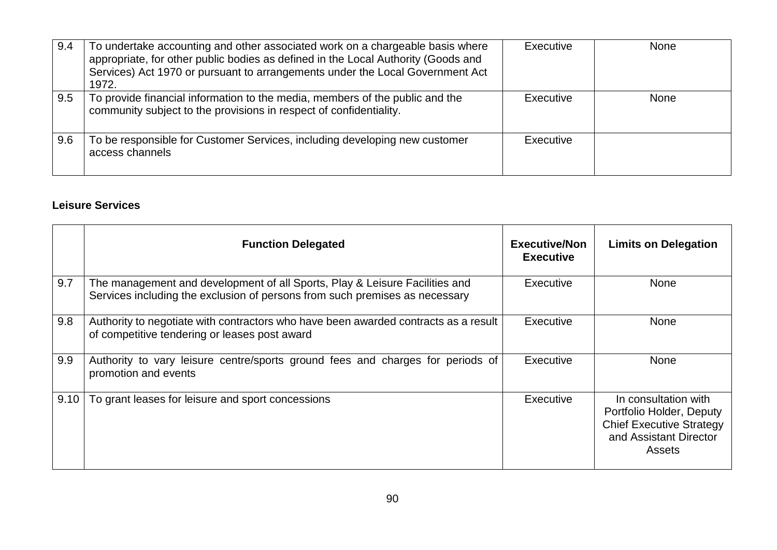| 9.4 | To undertake accounting and other associated work on a chargeable basis where<br>appropriate, for other public bodies as defined in the Local Authority (Goods and<br>Services) Act 1970 or pursuant to arrangements under the Local Government Act<br>1972. | Executive | <b>None</b> |
|-----|--------------------------------------------------------------------------------------------------------------------------------------------------------------------------------------------------------------------------------------------------------------|-----------|-------------|
| 9.5 | To provide financial information to the media, members of the public and the<br>community subject to the provisions in respect of confidentiality.                                                                                                           | Executive | <b>None</b> |
| 9.6 | To be responsible for Customer Services, including developing new customer<br>access channels                                                                                                                                                                | Executive |             |

#### **Leisure Services**

|      | <b>Function Delegated</b>                                                                                                                                  | <b>Executive/Non</b><br><b>Executive</b> | <b>Limits on Delegation</b>                                                                                             |
|------|------------------------------------------------------------------------------------------------------------------------------------------------------------|------------------------------------------|-------------------------------------------------------------------------------------------------------------------------|
| 9.7  | The management and development of all Sports, Play & Leisure Facilities and<br>Services including the exclusion of persons from such premises as necessary | Executive                                | <b>None</b>                                                                                                             |
| 9.8  | Authority to negotiate with contractors who have been awarded contracts as a result<br>of competitive tendering or leases post award                       | Executive                                | None                                                                                                                    |
| 9.9  | Authority to vary leisure centre/sports ground fees and charges for periods of<br>promotion and events                                                     | Executive                                | None                                                                                                                    |
| 9.10 | To grant leases for leisure and sport concessions                                                                                                          | Executive                                | In consultation with<br>Portfolio Holder, Deputy<br><b>Chief Executive Strategy</b><br>and Assistant Director<br>Assets |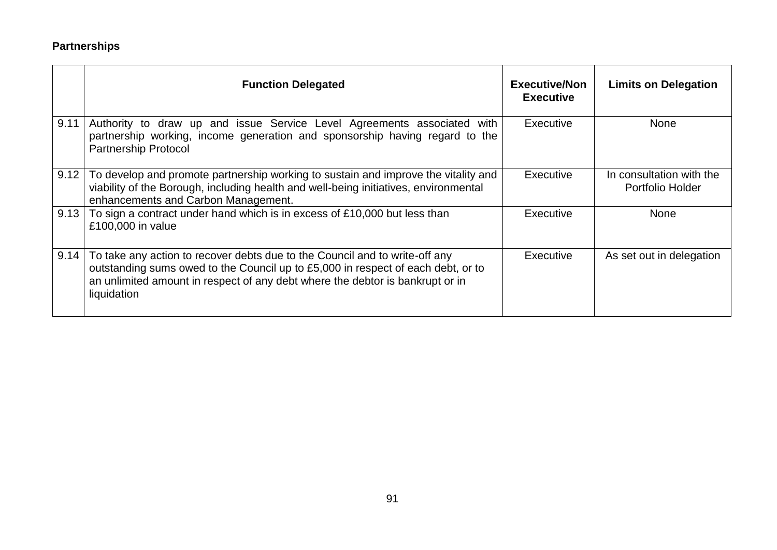## **Partnerships**

|      | <b>Function Delegated</b>                                                                                                                                                                                                                                       | <b>Executive/Non</b><br><b>Executive</b> | <b>Limits on Delegation</b>                  |
|------|-----------------------------------------------------------------------------------------------------------------------------------------------------------------------------------------------------------------------------------------------------------------|------------------------------------------|----------------------------------------------|
| 9.11 | Authority to draw up and issue Service Level Agreements associated<br>with<br>partnership working, income generation and sponsorship having regard to the<br><b>Partnership Protocol</b>                                                                        | Executive                                | <b>None</b>                                  |
| 9.12 | To develop and promote partnership working to sustain and improve the vitality and<br>viability of the Borough, including health and well-being initiatives, environmental<br>enhancements and Carbon Management.                                               | Executive                                | In consultation with the<br>Portfolio Holder |
| 9.13 | To sign a contract under hand which is in excess of £10,000 but less than<br>£100,000 in value                                                                                                                                                                  | Executive                                | <b>None</b>                                  |
| 9.14 | To take any action to recover debts due to the Council and to write-off any<br>outstanding sums owed to the Council up to £5,000 in respect of each debt, or to<br>an unlimited amount in respect of any debt where the debtor is bankrupt or in<br>liquidation | Executive                                | As set out in delegation                     |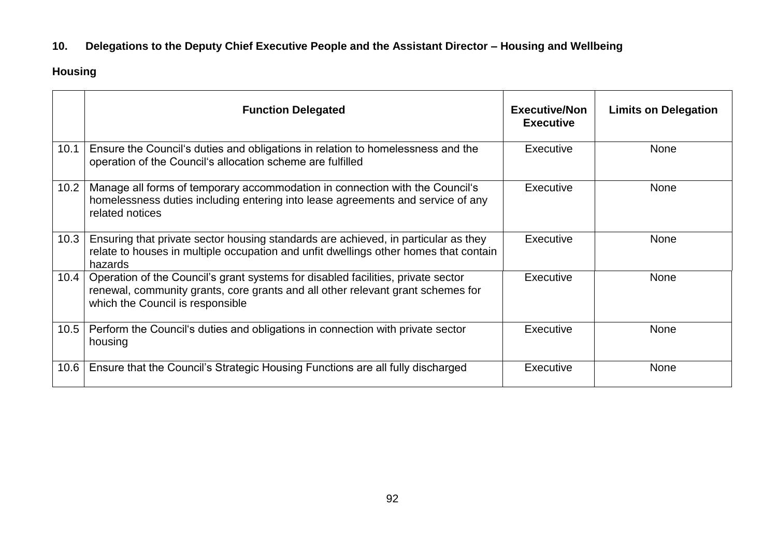## **10. Delegations to the Deputy Chief Executive People and the Assistant Director – Housing and Wellbeing**

## **Housing**

|      | <b>Function Delegated</b>                                                                                                                                                                               | <b>Executive/Non</b><br><b>Executive</b> | <b>Limits on Delegation</b> |
|------|---------------------------------------------------------------------------------------------------------------------------------------------------------------------------------------------------------|------------------------------------------|-----------------------------|
| 10.1 | Ensure the Council's duties and obligations in relation to homelessness and the<br>operation of the Council's allocation scheme are fulfilled                                                           | Executive                                | <b>None</b>                 |
| 10.2 | Manage all forms of temporary accommodation in connection with the Council's<br>homelessness duties including entering into lease agreements and service of any<br>related notices                      | Executive                                | <b>None</b>                 |
| 10.3 | Ensuring that private sector housing standards are achieved, in particular as they<br>relate to houses in multiple occupation and unfit dwellings other homes that contain<br>hazards                   | Executive                                | <b>None</b>                 |
| 10.4 | Operation of the Council's grant systems for disabled facilities, private sector<br>renewal, community grants, core grants and all other relevant grant schemes for<br>which the Council is responsible | Executive                                | <b>None</b>                 |
| 10.5 | Perform the Council's duties and obligations in connection with private sector<br>housing                                                                                                               | Executive                                | <b>None</b>                 |
| 10.6 | Ensure that the Council's Strategic Housing Functions are all fully discharged                                                                                                                          | Executive                                | <b>None</b>                 |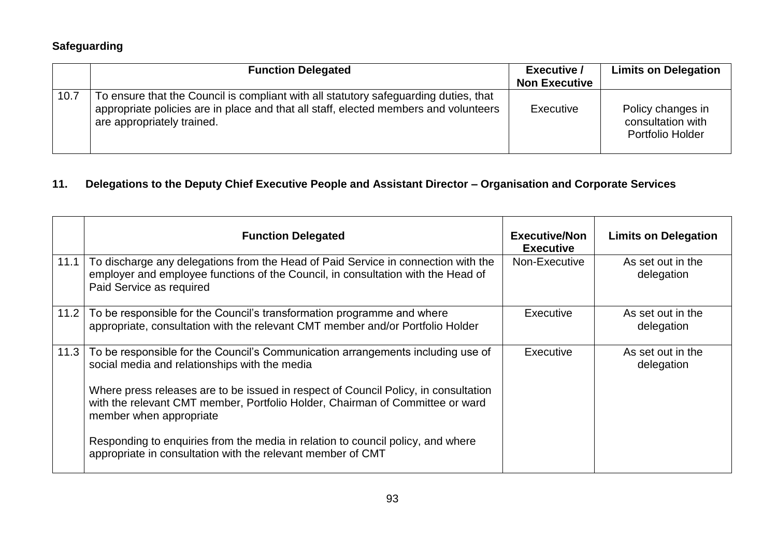## **Safeguarding**

|      | <b>Function Delegated</b>                                                                                                                                                                                  | <b>Executive /</b><br><b>Non Executive</b> | <b>Limits on Delegation</b>                                |
|------|------------------------------------------------------------------------------------------------------------------------------------------------------------------------------------------------------------|--------------------------------------------|------------------------------------------------------------|
| 10.7 | To ensure that the Council is compliant with all statutory safeguarding duties, that<br>appropriate policies are in place and that all staff, elected members and volunteers<br>are appropriately trained. | Executive                                  | Policy changes in<br>consultation with<br>Portfolio Holder |

# **11. Delegations to the Deputy Chief Executive People and Assistant Director – Organisation and Corporate Services**

|      | <b>Function Delegated</b>                                                                                                                                                                         | <b>Executive/Non</b><br><b>Executive</b> | <b>Limits on Delegation</b>     |
|------|---------------------------------------------------------------------------------------------------------------------------------------------------------------------------------------------------|------------------------------------------|---------------------------------|
| 11.1 | To discharge any delegations from the Head of Paid Service in connection with the<br>employer and employee functions of the Council, in consultation with the Head of<br>Paid Service as required | Non-Executive                            | As set out in the<br>delegation |
| 11.2 | To be responsible for the Council's transformation programme and where<br>appropriate, consultation with the relevant CMT member and/or Portfolio Holder                                          | Executive                                | As set out in the<br>delegation |
| 11.3 | To be responsible for the Council's Communication arrangements including use of<br>social media and relationships with the media                                                                  | Executive                                | As set out in the<br>delegation |
|      | Where press releases are to be issued in respect of Council Policy, in consultation<br>with the relevant CMT member, Portfolio Holder, Chairman of Committee or ward<br>member when appropriate   |                                          |                                 |
|      | Responding to enquiries from the media in relation to council policy, and where<br>appropriate in consultation with the relevant member of CMT                                                    |                                          |                                 |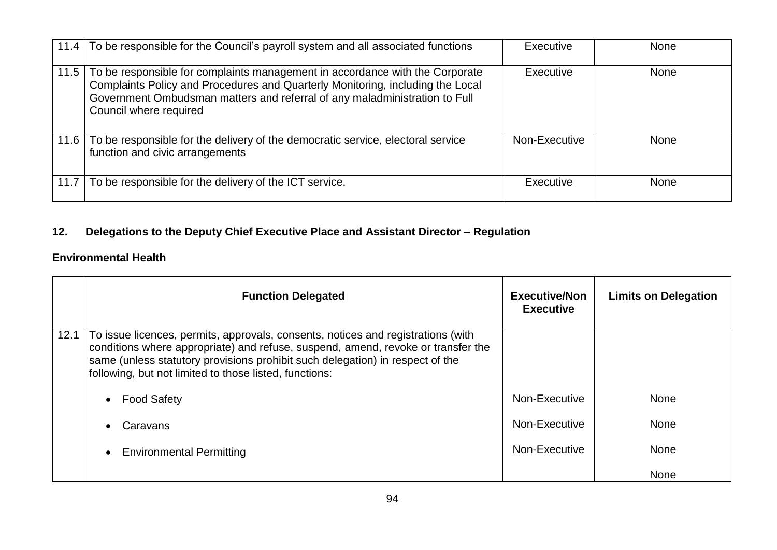|      | 11.4 To be responsible for the Council's payroll system and all associated functions                                                                                                                                                                                   | Executive     | <b>None</b> |
|------|------------------------------------------------------------------------------------------------------------------------------------------------------------------------------------------------------------------------------------------------------------------------|---------------|-------------|
| 11.5 | To be responsible for complaints management in accordance with the Corporate<br>Complaints Policy and Procedures and Quarterly Monitoring, including the Local<br>Government Ombudsman matters and referral of any maladministration to Full<br>Council where required | Executive     | None        |
|      | 11.6 To be responsible for the delivery of the democratic service, electoral service<br>function and civic arrangements                                                                                                                                                | Non-Executive | <b>None</b> |
| 11.7 | To be responsible for the delivery of the ICT service.                                                                                                                                                                                                                 | Executive     | None        |

## **12. Delegations to the Deputy Chief Executive Place and Assistant Director – Regulation**

## **Environmental Health**

|      | <b>Function Delegated</b>                                                                                                                                                                                                                                                                                       | <b>Executive/Non</b><br><b>Executive</b> | <b>Limits on Delegation</b> |
|------|-----------------------------------------------------------------------------------------------------------------------------------------------------------------------------------------------------------------------------------------------------------------------------------------------------------------|------------------------------------------|-----------------------------|
| 12.1 | To issue licences, permits, approvals, consents, notices and registrations (with<br>conditions where appropriate) and refuse, suspend, amend, revoke or transfer the<br>same (unless statutory provisions prohibit such delegation) in respect of the<br>following, but not limited to those listed, functions: |                                          |                             |
|      | <b>Food Safety</b>                                                                                                                                                                                                                                                                                              | Non-Executive                            | <b>None</b>                 |
|      | Caravans                                                                                                                                                                                                                                                                                                        | Non-Executive                            | <b>None</b>                 |
|      | <b>Environmental Permitting</b>                                                                                                                                                                                                                                                                                 | Non-Executive                            | <b>None</b>                 |
|      |                                                                                                                                                                                                                                                                                                                 |                                          | None                        |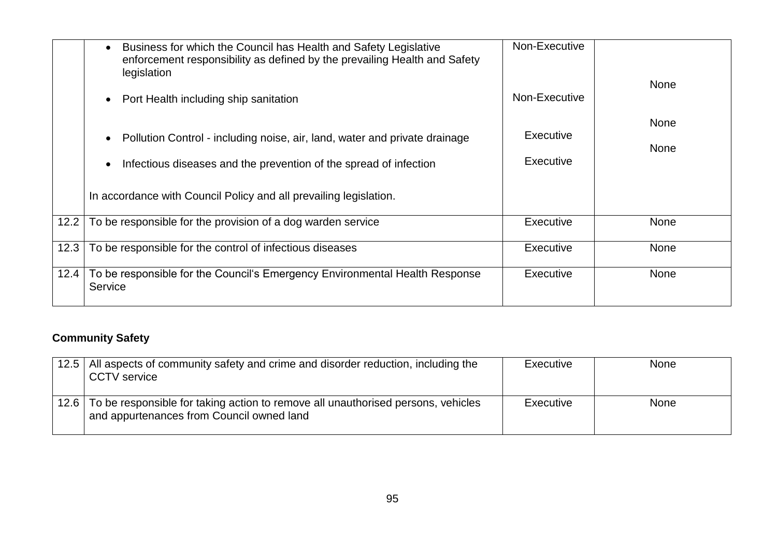|      | Business for which the Council has Health and Safety Legislative<br>enforcement responsibility as defined by the prevailing Health and Safety<br>legislation | Non-Executive          |                     |
|------|--------------------------------------------------------------------------------------------------------------------------------------------------------------|------------------------|---------------------|
|      | Port Health including ship sanitation                                                                                                                        | Non-Executive          | <b>None</b>         |
|      | Pollution Control - including noise, air, land, water and private drainage<br>Infectious diseases and the prevention of the spread of infection              | Executive<br>Executive | <b>None</b><br>None |
|      | In accordance with Council Policy and all prevailing legislation.                                                                                            |                        |                     |
| 12.2 | To be responsible for the provision of a dog warden service                                                                                                  | <b>Executive</b>       | None                |
| 12.3 | To be responsible for the control of infectious diseases                                                                                                     | Executive              | <b>None</b>         |
| 12.4 | To be responsible for the Council's Emergency Environmental Health Response<br>Service                                                                       | Executive              | None                |

## **Community Safety**

| 12.5 | All aspects of community safety and crime and disorder reduction, including the<br><b>CCTV</b> service                        | Executive | <b>None</b> |
|------|-------------------------------------------------------------------------------------------------------------------------------|-----------|-------------|
| 12.6 | To be responsible for taking action to remove all unauthorised persons, vehicles<br>and appurtenances from Council owned land | Executive | <b>None</b> |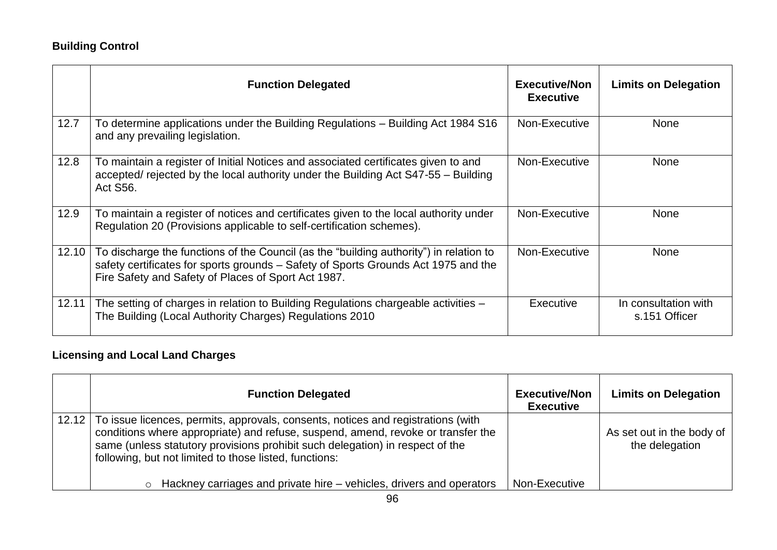## **Building Control**

|       | <b>Function Delegated</b>                                                                                                                                                                                                           | <b>Executive/Non</b><br><b>Executive</b> | <b>Limits on Delegation</b>           |
|-------|-------------------------------------------------------------------------------------------------------------------------------------------------------------------------------------------------------------------------------------|------------------------------------------|---------------------------------------|
| 12.7  | To determine applications under the Building Regulations - Building Act 1984 S16<br>and any prevailing legislation.                                                                                                                 | Non-Executive                            | <b>None</b>                           |
| 12.8  | To maintain a register of Initial Notices and associated certificates given to and<br>accepted/ rejected by the local authority under the Building Act S47-55 - Building<br>Act S56.                                                | Non-Executive                            | <b>None</b>                           |
| 12.9  | To maintain a register of notices and certificates given to the local authority under<br>Regulation 20 (Provisions applicable to self-certification schemes).                                                                       | Non-Executive                            | <b>None</b>                           |
| 12.10 | To discharge the functions of the Council (as the "building authority") in relation to<br>safety certificates for sports grounds - Safety of Sports Grounds Act 1975 and the<br>Fire Safety and Safety of Places of Sport Act 1987. | Non-Executive                            | None                                  |
| 12.11 | The setting of charges in relation to Building Regulations chargeable activities -<br>The Building (Local Authority Charges) Regulations 2010                                                                                       | Executive                                | In consultation with<br>s.151 Officer |

## **Licensing and Local Land Charges**

|       | <b>Function Delegated</b>                                                                                                                                                                                                                                                                                       | <b>Executive/Non</b><br><b>Executive</b> | <b>Limits on Delegation</b>                 |
|-------|-----------------------------------------------------------------------------------------------------------------------------------------------------------------------------------------------------------------------------------------------------------------------------------------------------------------|------------------------------------------|---------------------------------------------|
| 12.12 | To issue licences, permits, approvals, consents, notices and registrations (with<br>conditions where appropriate) and refuse, suspend, amend, revoke or transfer the<br>same (unless statutory provisions prohibit such delegation) in respect of the<br>following, but not limited to those listed, functions: |                                          | As set out in the body of<br>the delegation |
|       | $\circ$ Hackney carriages and private hire – vehicles, drivers and operators                                                                                                                                                                                                                                    | Non-Executive                            |                                             |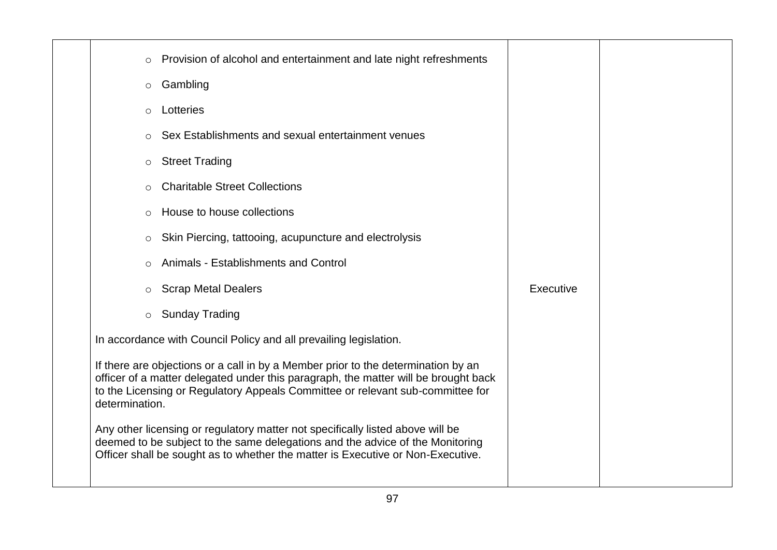| $\circ$        | Provision of alcohol and entertainment and late night refreshments                                                                                                                                                                                         |           |  |
|----------------|------------------------------------------------------------------------------------------------------------------------------------------------------------------------------------------------------------------------------------------------------------|-----------|--|
| $\circ$        | Gambling                                                                                                                                                                                                                                                   |           |  |
|                | Lotteries                                                                                                                                                                                                                                                  |           |  |
| $\circ$        |                                                                                                                                                                                                                                                            |           |  |
|                | Sex Establishments and sexual entertainment venues                                                                                                                                                                                                         |           |  |
| $\circ$        | <b>Street Trading</b>                                                                                                                                                                                                                                      |           |  |
| $\circ$        | <b>Charitable Street Collections</b>                                                                                                                                                                                                                       |           |  |
| $\circ$        | House to house collections                                                                                                                                                                                                                                 |           |  |
| $\circ$        | Skin Piercing, tattooing, acupuncture and electrolysis                                                                                                                                                                                                     |           |  |
|                | Animals - Establishments and Control                                                                                                                                                                                                                       |           |  |
| $\circ$        | <b>Scrap Metal Dealers</b>                                                                                                                                                                                                                                 | Executive |  |
| $\circ$        | <b>Sunday Trading</b>                                                                                                                                                                                                                                      |           |  |
|                | In accordance with Council Policy and all prevailing legislation.                                                                                                                                                                                          |           |  |
| determination. | If there are objections or a call in by a Member prior to the determination by an<br>officer of a matter delegated under this paragraph, the matter will be brought back<br>to the Licensing or Regulatory Appeals Committee or relevant sub-committee for |           |  |
|                | Any other licensing or regulatory matter not specifically listed above will be<br>deemed to be subject to the same delegations and the advice of the Monitoring<br>Officer shall be sought as to whether the matter is Executive or Non-Executive.         |           |  |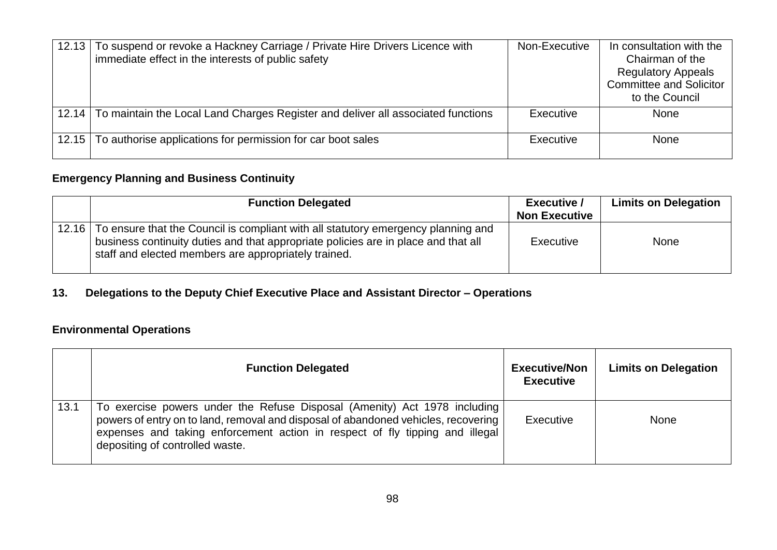| 12.13 | To suspend or revoke a Hackney Carriage / Private Hire Drivers Licence with<br>immediate effect in the interests of public safety | Non-Executive | In consultation with the<br>Chairman of the<br><b>Regulatory Appeals</b><br><b>Committee and Solicitor</b><br>to the Council |
|-------|-----------------------------------------------------------------------------------------------------------------------------------|---------------|------------------------------------------------------------------------------------------------------------------------------|
| 12.14 | To maintain the Local Land Charges Register and deliver all associated functions                                                  | Executive     | <b>None</b>                                                                                                                  |
| 12.15 | To authorise applications for permission for car boot sales                                                                       | Executive     | None                                                                                                                         |

# **Emergency Planning and Business Continuity**

|       | <b>Function Delegated</b>                                                                                                                                                                                                       | <b>Executive /</b><br><b>Non Executive</b> | <b>Limits on Delegation</b> |
|-------|---------------------------------------------------------------------------------------------------------------------------------------------------------------------------------------------------------------------------------|--------------------------------------------|-----------------------------|
| 12.16 | To ensure that the Council is compliant with all statutory emergency planning and<br>business continuity duties and that appropriate policies are in place and that all<br>staff and elected members are appropriately trained. | Executive                                  | None                        |

## **13. Delegations to the Deputy Chief Executive Place and Assistant Director – Operations**

## **Environmental Operations**

|      | <b>Function Delegated</b>                                                                                                                                                                                                                                                          | <b>Executive/Non</b><br><b>Executive</b> | <b>Limits on Delegation</b> |
|------|------------------------------------------------------------------------------------------------------------------------------------------------------------------------------------------------------------------------------------------------------------------------------------|------------------------------------------|-----------------------------|
| 13.1 | To exercise powers under the Refuse Disposal (Amenity) Act 1978 including<br>powers of entry on to land, removal and disposal of abandoned vehicles, recovering<br>expenses and taking enforcement action in respect of fly tipping and illegal<br>depositing of controlled waste. | Executive                                | <b>None</b>                 |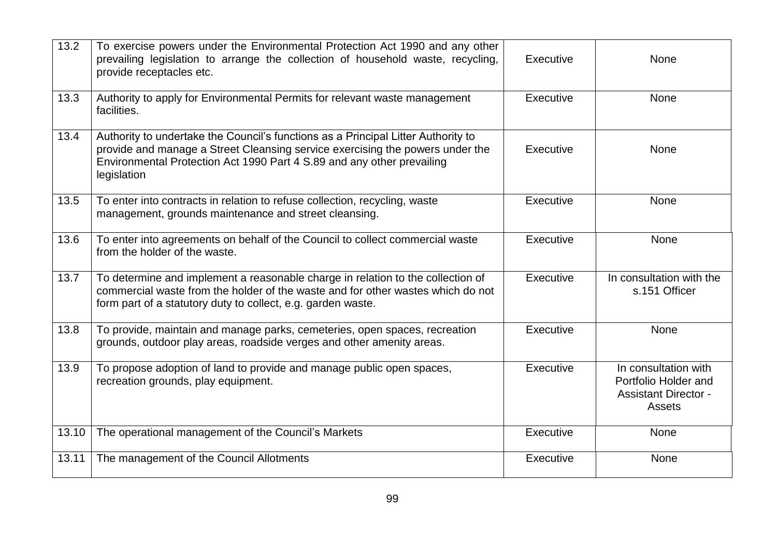| 13.2  | To exercise powers under the Environmental Protection Act 1990 and any other<br>prevailing legislation to arrange the collection of household waste, recycling,<br>provide receptacles etc.                                                                 | Executive | <b>None</b>                                                                           |
|-------|-------------------------------------------------------------------------------------------------------------------------------------------------------------------------------------------------------------------------------------------------------------|-----------|---------------------------------------------------------------------------------------|
| 13.3  | Authority to apply for Environmental Permits for relevant waste management<br>facilities.                                                                                                                                                                   | Executive | None                                                                                  |
| 13.4  | Authority to undertake the Council's functions as a Principal Litter Authority to<br>provide and manage a Street Cleansing service exercising the powers under the<br>Environmental Protection Act 1990 Part 4 S.89 and any other prevailing<br>legislation | Executive | <b>None</b>                                                                           |
| 13.5  | To enter into contracts in relation to refuse collection, recycling, waste<br>management, grounds maintenance and street cleansing.                                                                                                                         | Executive | <b>None</b>                                                                           |
| 13.6  | To enter into agreements on behalf of the Council to collect commercial waste<br>from the holder of the waste.                                                                                                                                              | Executive | None                                                                                  |
| 13.7  | To determine and implement a reasonable charge in relation to the collection of<br>commercial waste from the holder of the waste and for other wastes which do not<br>form part of a statutory duty to collect, e.g. garden waste.                          | Executive | In consultation with the<br>s.151 Officer                                             |
| 13.8  | To provide, maintain and manage parks, cemeteries, open spaces, recreation<br>grounds, outdoor play areas, roadside verges and other amenity areas.                                                                                                         | Executive | None                                                                                  |
| 13.9  | To propose adoption of land to provide and manage public open spaces,<br>recreation grounds, play equipment.                                                                                                                                                | Executive | In consultation with<br>Portfolio Holder and<br><b>Assistant Director -</b><br>Assets |
| 13.10 | The operational management of the Council's Markets                                                                                                                                                                                                         | Executive | None                                                                                  |
| 13.11 | The management of the Council Allotments                                                                                                                                                                                                                    | Executive | None                                                                                  |